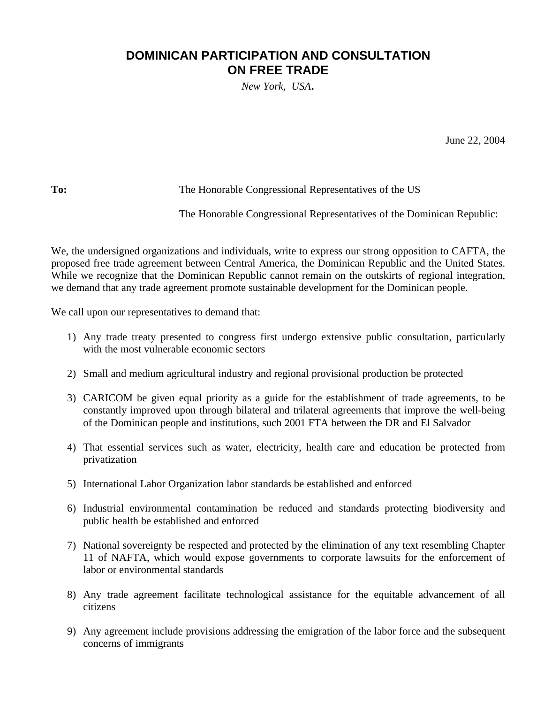# **DOMINICAN PARTICIPATION AND CONSULTATION ON FREE TRADE**

*New York, USA*.

June 22, 2004

**To:** The Honorable Congressional Representatives of the US

The Honorable Congressional Representatives of the Dominican Republic:

We, the undersigned organizations and individuals, write to express our strong opposition to CAFTA, the proposed free trade agreement between Central America, the Dominican Republic and the United States. While we recognize that the Dominican Republic cannot remain on the outskirts of regional integration, we demand that any trade agreement promote sustainable development for the Dominican people.

We call upon our representatives to demand that:

- 1) Any trade treaty presented to congress first undergo extensive public consultation, particularly with the most vulnerable economic sectors
- 2) Small and medium agricultural industry and regional provisional production be protected
- 3) CARICOM be given equal priority as a guide for the establishment of trade agreements, to be constantly improved upon through bilateral and trilateral agreements that improve the well-being of the Dominican people and institutions, such 2001 FTA between the DR and El Salvador
- 4) That essential services such as water, electricity, health care and education be protected from privatization
- 5) International Labor Organization labor standards be established and enforced
- 6) Industrial environmental contamination be reduced and standards protecting biodiversity and public health be established and enforced
- 7) National sovereignty be respected and protected by the elimination of any text resembling Chapter 11 of NAFTA, which would expose governments to corporate lawsuits for the enforcement of labor or environmental standards
- 8) Any trade agreement facilitate technological assistance for the equitable advancement of all citizens
- 9) Any agreement include provisions addressing the emigration of the labor force and the subsequent concerns of immigrants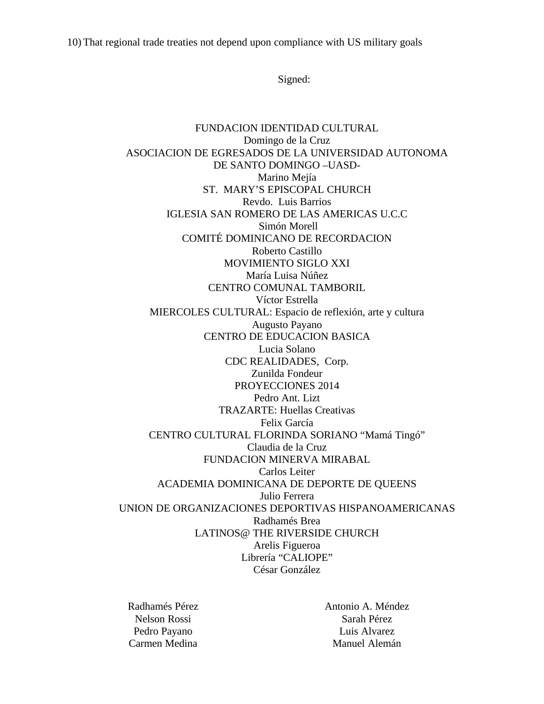10) That regional trade treaties not depend upon compliance with US military goals

Signed:

FUNDACION IDENTIDAD CULTURAL Domingo de la Cruz ASOCIACION DE EGRESADOS DE LA UNIVERSIDAD AUTONOMA DE SANTO DOMINGO –UASD-Marino Mejía ST. MARY'S EPISCOPAL CHURCH Revdo. Luis Barrios IGLESIA SAN ROMERO DE LAS AMERICAS U.C.C Simón Morell COMITÉ DOMINICANO DE RECORDACION Roberto Castillo MOVIMIENTO SIGLO XXI María Luisa Núñez CENTRO COMUNAL TAMBORIL Víctor Estrella MIERCOLES CULTURAL: Espacio de reflexión, arte y cultura Augusto Payano CENTRO DE EDUCACION BASICA Lucia Solano CDC REALIDADES, Corp. Zunilda Fondeur PROYECCIONES 2014 Pedro Ant. Lizt TRAZARTE: Huellas Creativas Felix García CENTRO CULTURAL FLORINDA SORIANO "Mamá Tingó" Claudia de la Cruz FUNDACION MINERVA MIRABAL Carlos Leiter ACADEMIA DOMINICANA DE DEPORTE DE QUEENS Julio Ferrera UNION DE ORGANIZACIONES DEPORTIVAS HISPANOAMERICANAS Radhamés Brea LATINOS@ THE RIVERSIDE CHURCH Arelis Figueroa Librería "CALIOPE" César González

Radhamés Pérez **Antonio A. Méndez** Nelson Rossi Sarah Pérez Pedro Payano Luis Alvarez Carmen Medina Manuel Alemán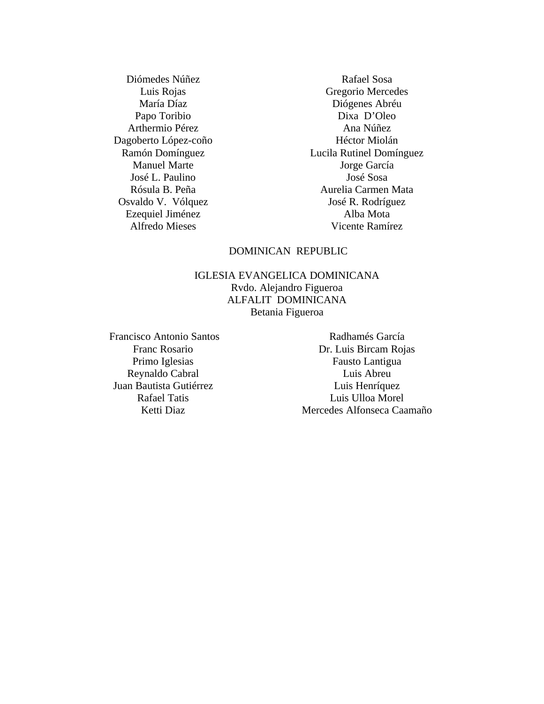Diómedes Núñez Rafael Sosa Arthermio Pérez **Analysis** Ana Núñez Dagoberto López-coño Héctor Miolán José L. Paulino José Sosa Ezequiel Jiménez Alba Mota

Luis Rojas Gregorio Mercedes María Díaz Diógenes Abréu Papo Toribio Dixa D'Oleo Ramón Domínguez Lucila Rutinel Domínguez Manuel Marte **Manuel Marte** Jorge García Rósula B. Peña **Aurelia Carmen Mata** Osvaldo V. Vólquez José R. Rodríguez Alfredo Mieses Vicente Ramírez

#### DOMINICAN REPUBLIC

IGLESIA EVANGELICA DOMINICANA Rvdo. Alejandro Figueroa ALFALIT DOMINICANA Betania Figueroa

Francisco Antonio Santos **Radhamés García** Reynaldo Cabral **Luis Abreu** Juan Bautista Gutiérrez Luis Henríquez

Franc Rosario Dr. Luis Bircam Rojas Primo Iglesias Fausto Lantigua Rafael Tatis Luis Ulloa Morel Ketti Diaz Mercedes Alfonseca Caamaño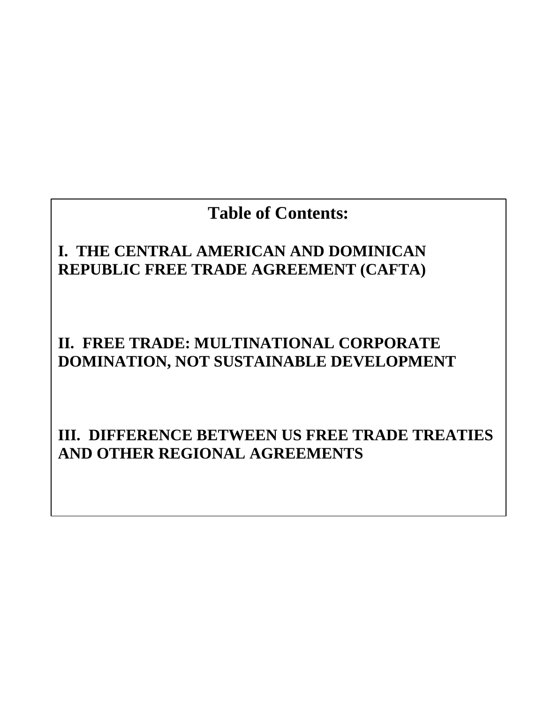# **Table of Contents:**

# **I. THE CENTRAL AMERICAN AND DOMINICAN REPUBLIC FREE TRADE AGREEMENT (CAFTA)**

# **II. FREE TRADE: MULTINATIONAL CORPORATE DOMINATION, NOT SUSTAINABLE DEVELOPMENT**

**III. DIFFERENCE BETWEEN US FREE TRADE TREATIES AND OTHER REGIONAL AGREEMENTS**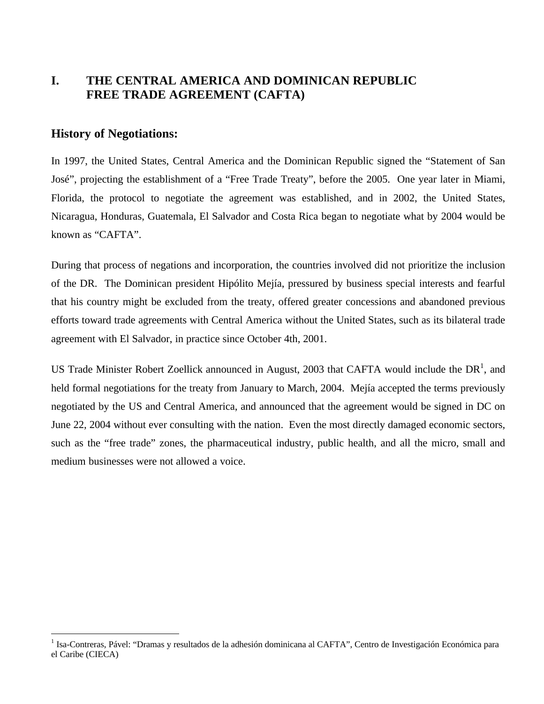## **I. THE CENTRAL AMERICA AND DOMINICAN REPUBLIC FREE TRADE AGREEMENT (CAFTA)**

#### **History of Negotiations:**

 $\overline{a}$ 

In 1997, the United States, Central America and the Dominican Republic signed the "Statement of San José", projecting the establishment of a "Free Trade Treaty", before the 2005. One year later in Miami, Florida, the protocol to negotiate the agreement was established, and in 2002, the United States, Nicaragua, Honduras, Guatemala, El Salvador and Costa Rica began to negotiate what by 2004 would be known as "CAFTA".

During that process of negations and incorporation, the countries involved did not prioritize the inclusion of the DR. The Dominican president Hipólito Mejía, pressured by business special interests and fearful that his country might be excluded from the treaty, offered greater concessions and abandoned previous efforts toward trade agreements with Central America without the United States, such as its bilateral trade agreement with El Salvador, in practice since October 4th, 2001.

US Trade Minister Robert Zoellick announced in August, 2003 that CAFTA would include the  $DR<sup>1</sup>$ , and held formal negotiations for the treaty from January to March, 2004. Mejía accepted the terms previously negotiated by the US and Central America, and announced that the agreement would be signed in DC on June 22, 2004 without ever consulting with the nation. Even the most directly damaged economic sectors, such as the "free trade" zones, the pharmaceutical industry, public health, and all the micro, small and medium businesses were not allowed a voice.

<sup>&</sup>lt;sup>1</sup> Isa-Contreras, Pável: "Dramas y resultados de la adhesión dominicana al CAFTA", Centro de Investigación Económica para el Caribe (CIECA)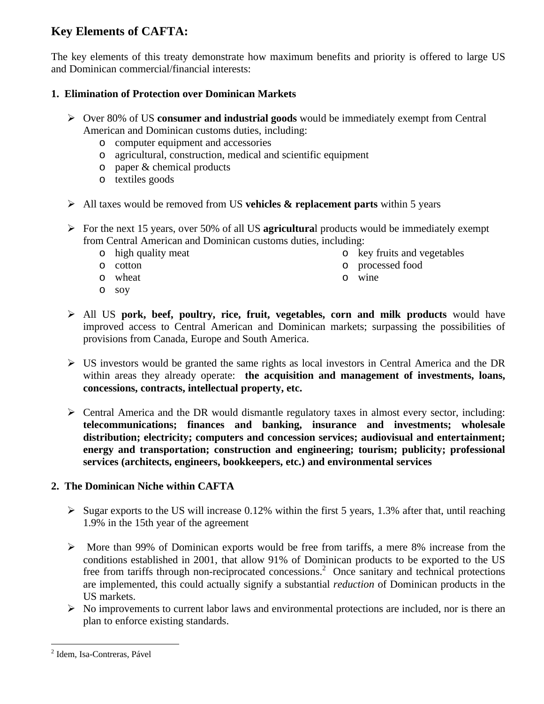# **Key Elements of CAFTA:**

The key elements of this treaty demonstrate how maximum benefits and priority is offered to large US and Dominican commercial/financial interests:

#### **1. Elimination of Protection over Dominican Markets**

- ÿ Over 80% of US **consumer and industrial goods** would be immediately exempt from Central American and Dominican customs duties, including:
	- o computer equipment and accessories
	- o agricultural, construction, medical and scientific equipment
	- o paper & chemical products
	- o textiles goods
- ÿ All taxes would be removed from US **vehicles & replacement parts** within 5 years
- ÿ For the next 15 years, over 50% of all US **agricultura**l products would be immediately exempt from Central American and Dominican customs duties, including:
	- o high quality meat
	- o cotton
	- o wheat
	- o soy
- o key fruits and vegetables
- o processed food
- o wine
- ÿ All US **pork, beef, poultry, rice, fruit, vegetables, corn and milk products** would have improved access to Central American and Dominican markets; surpassing the possibilities of provisions from Canada, Europe and South America.
- $\triangleright$  US investors would be granted the same rights as local investors in Central America and the DR within areas they already operate: **the acquisition and management of investments, loans, concessions, contracts, intellectual property, etc.**
- $\triangleright$  Central America and the DR would dismantle regulatory taxes in almost every sector, including: **telecommunications; finances and banking, insurance and investments; wholesale distribution; electricity; computers and concession services; audiovisual and entertainment; energy and transportation; construction and engineering; tourism; publicity; professional services (architects, engineers, bookkeepers, etc.) and environmental services**

### **2. The Dominican Niche within CAFTA**

- $\triangleright$  Sugar exports to the US will increase 0.12% within the first 5 years, 1.3% after that, until reaching 1.9% in the 15th year of the agreement
- $\triangleright$  More than 99% of Dominican exports would be free from tariffs, a mere 8% increase from the conditions established in 2001, that allow 91% of Dominican products to be exported to the US free from tariffs through non-reciprocated concessions.<sup>2</sup> Once sanitary and technical protections are implemented, this could actually signify a substantial *reduction* of Dominican products in the US markets.
- $\triangleright$  No improvements to current labor laws and environmental protections are included, nor is there an plan to enforce existing standards.

 $\overline{a}$ 2 Idem, Isa-Contreras, Pável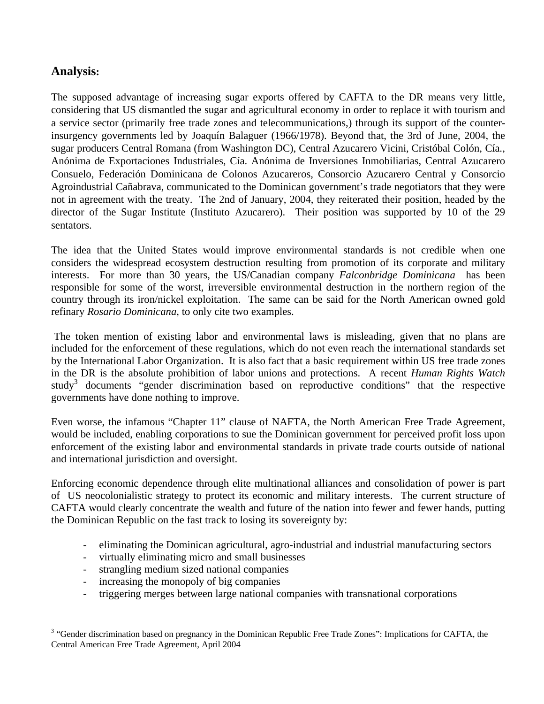### **Analysis:**

The supposed advantage of increasing sugar exports offered by CAFTA to the DR means very little, considering that US dismantled the sugar and agricultural economy in order to replace it with tourism and a service sector (primarily free trade zones and telecommunications,) through its support of the counterinsurgency governments led by Joaquín Balaguer (1966/1978). Beyond that, the 3rd of June, 2004, the sugar producers Central Romana (from Washington DC), Central Azucarero Vicini, Cristóbal Colón, Cía., Anónima de Exportaciones Industriales, Cía. Anónima de Inversiones Inmobiliarias, Central Azucarero Consuelo, Federación Dominicana de Colonos Azucareros, Consorcio Azucarero Central y Consorcio Agroindustrial Cañabrava, communicated to the Dominican government's trade negotiators that they were not in agreement with the treaty. The 2nd of January, 2004, they reiterated their position, headed by the director of the Sugar Institute (Instituto Azucarero). Their position was supported by 10 of the 29 sentators.

The idea that the United States would improve environmental standards is not credible when one considers the widespread ecosystem destruction resulting from promotion of its corporate and military interests. For more than 30 years, the US/Canadian company *Falconbridge Dominicana* has been responsible for some of the worst, irreversible environmental destruction in the northern region of the country through its iron/nickel exploitation. The same can be said for the North American owned gold refinary *Rosario Dominicana*, to only cite two examples.

The token mention of existing labor and environmental laws is misleading, given that no plans are included for the enforcement of these regulations, which do not even reach the international standards set by the International Labor Organization. It is also fact that a basic requirement within US free trade zones in the DR is the absolute prohibition of labor unions and protections. A recent *Human Rights Watch* study<sup>3</sup> documents "gender discrimination based on reproductive conditions" that the respective governments have done nothing to improve.

Even worse, the infamous "Chapter 11" clause of NAFTA, the North American Free Trade Agreement, would be included, enabling corporations to sue the Dominican government for perceived profit loss upon enforcement of the existing labor and environmental standards in private trade courts outside of national and international jurisdiction and oversight.

Enforcing economic dependence through elite multinational alliances and consolidation of power is part of US neocolonialistic strategy to protect its economic and military interests. The current structure of CAFTA would clearly concentrate the wealth and future of the nation into fewer and fewer hands, putting the Dominican Republic on the fast track to losing its sovereignty by:

- eliminating the Dominican agricultural, agro-industrial and industrial manufacturing sectors
- virtually eliminating micro and small businesses
- strangling medium sized national companies
- increasing the monopoly of big companies
- triggering merges between large national companies with transnational corporations

<sup>&</sup>lt;sup>3</sup> "Gender discrimination based on pregnancy in the Dominican Republic Free Trade Zones": Implications for CAFTA, the Central American Free Trade Agreement, April 2004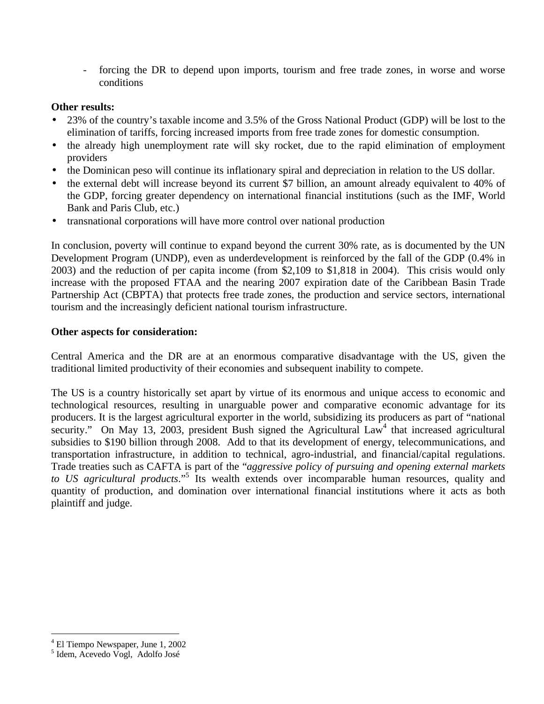- forcing the DR to depend upon imports, tourism and free trade zones, in worse and worse conditions

#### **Other results:**

- 23% of the country's taxable income and 3.5% of the Gross National Product (GDP) will be lost to the elimination of tariffs, forcing increased imports from free trade zones for domestic consumption.
- the already high unemployment rate will sky rocket, due to the rapid elimination of employment providers
- the Dominican peso will continue its inflationary spiral and depreciation in relation to the US dollar.
- the external debt will increase beyond its current \$7 billion, an amount already equivalent to 40% of the GDP, forcing greater dependency on international financial institutions (such as the IMF, World Bank and Paris Club, etc.)
- transnational corporations will have more control over national production

In conclusion, poverty will continue to expand beyond the current 30% rate, as is documented by the UN Development Program (UNDP), even as underdevelopment is reinforced by the fall of the GDP (0.4% in 2003) and the reduction of per capita income (from \$2,109 to \$1,818 in 2004). This crisis would only increase with the proposed FTAA and the nearing 2007 expiration date of the Caribbean Basin Trade Partnership Act (CBPTA) that protects free trade zones, the production and service sectors, international tourism and the increasingly deficient national tourism infrastructure.

#### **Other aspects for consideration:**

Central America and the DR are at an enormous comparative disadvantage with the US, given the traditional limited productivity of their economies and subsequent inability to compete.

The US is a country historically set apart by virtue of its enormous and unique access to economic and technological resources, resulting in unarguable power and comparative economic advantage for its producers. It is the largest agricultural exporter in the world, subsidizing its producers as part of "national security." On May 13, 2003, president Bush signed the Agricultural  $Law<sup>4</sup>$  that increased agricultural subsidies to \$190 billion through 2008. Add to that its development of energy, telecommunications, and transportation infrastructure, in addition to technical, agro-industrial, and financial/capital regulations. Trade treaties such as CAFTA is part of the "*aggressive policy of pursuing and opening external markets* to US agricultural products."<sup>5</sup> Its wealth extends over incomparable human resources, quality and quantity of production, and domination over international financial institutions where it acts as both plaintiff and judge.

 $\overline{a}$ 

<sup>4</sup> El Tiempo Newspaper, June 1, 2002

<sup>5</sup> Idem, Acevedo Vogl, Adolfo José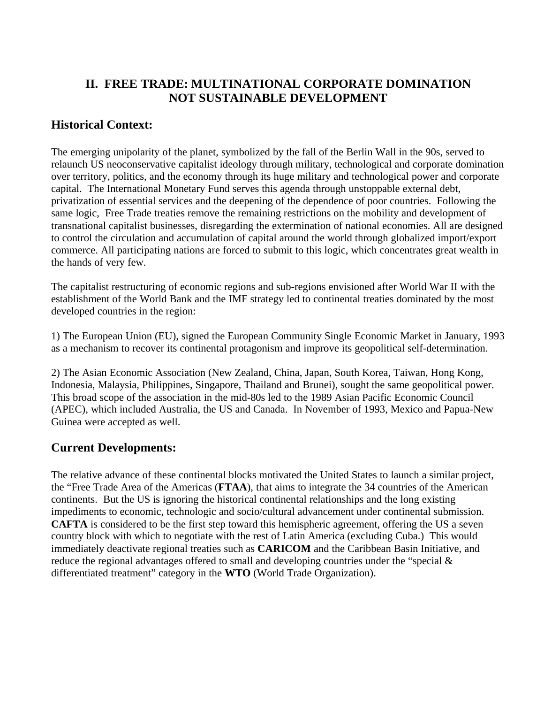# **II. FREE TRADE: MULTINATIONAL CORPORATE DOMINATION NOT SUSTAINABLE DEVELOPMENT**

## **Historical Context:**

The emerging unipolarity of the planet, symbolized by the fall of the Berlin Wall in the 90s, served to relaunch US neoconservative capitalist ideology through military, technological and corporate domination over territory, politics, and the economy through its huge military and technological power and corporate capital. The International Monetary Fund serves this agenda through unstoppable external debt, privatization of essential services and the deepening of the dependence of poor countries. Following the same logic, Free Trade treaties remove the remaining restrictions on the mobility and development of transnational capitalist businesses, disregarding the extermination of national economies. All are designed to control the circulation and accumulation of capital around the world through globalized import/export commerce. All participating nations are forced to submit to this logic, which concentrates great wealth in the hands of very few.

The capitalist restructuring of economic regions and sub-regions envisioned after World War II with the establishment of the World Bank and the IMF strategy led to continental treaties dominated by the most developed countries in the region:

1) The European Union (EU), signed the European Community Single Economic Market in January, 1993 as a mechanism to recover its continental protagonism and improve its geopolitical self-determination.

2) The Asian Economic Association (New Zealand, China, Japan, South Korea, Taiwan, Hong Kong, Indonesia, Malaysia, Philippines, Singapore, Thailand and Brunei), sought the same geopolitical power. This broad scope of the association in the mid-80s led to the 1989 Asian Pacific Economic Council (APEC), which included Australia, the US and Canada. In November of 1993, Mexico and Papua-New Guinea were accepted as well.

## **Current Developments:**

The relative advance of these continental blocks motivated the United States to launch a similar project, the "Free Trade Area of the Americas (**FTAA**), that aims to integrate the 34 countries of the American continents. But the US is ignoring the historical continental relationships and the long existing impediments to economic, technologic and socio/cultural advancement under continental submission. **CAFTA** is considered to be the first step toward this hemispheric agreement, offering the US a seven country block with which to negotiate with the rest of Latin America (excluding Cuba.) This would immediately deactivate regional treaties such as **CARICOM** and the Caribbean Basin Initiative, and reduce the regional advantages offered to small and developing countries under the "special & differentiated treatment" category in the **WTO** (World Trade Organization).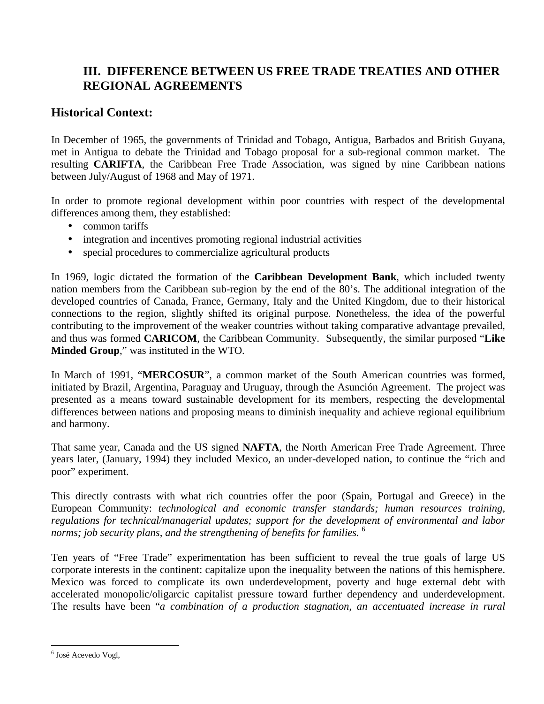# **III. DIFFERENCE BETWEEN US FREE TRADE TREATIES AND OTHER REGIONAL AGREEMENTS**

### **Historical Context:**

In December of 1965, the governments of Trinidad and Tobago, Antigua, Barbados and British Guyana, met in Antigua to debate the Trinidad and Tobago proposal for a sub-regional common market. The resulting **CARIFTA**, the Caribbean Free Trade Association, was signed by nine Caribbean nations between July/August of 1968 and May of 1971.

In order to promote regional development within poor countries with respect of the developmental differences among them, they established:

- common tariffs
- integration and incentives promoting regional industrial activities
- special procedures to commercialize agricultural products

In 1969, logic dictated the formation of the **Caribbean Development Bank**, which included twenty nation members from the Caribbean sub-region by the end of the 80's. The additional integration of the developed countries of Canada, France, Germany, Italy and the United Kingdom, due to their historical connections to the region, slightly shifted its original purpose. Nonetheless, the idea of the powerful contributing to the improvement of the weaker countries without taking comparative advantage prevailed, and thus was formed **CARICOM**, the Caribbean Community. Subsequently, the similar purposed "**Like Minded Group**," was instituted in the WTO.

In March of 1991, "**MERCOSUR**", a common market of the South American countries was formed, initiated by Brazil, Argentina, Paraguay and Uruguay, through the Asunción Agreement. The project was presented as a means toward sustainable development for its members, respecting the developmental differences between nations and proposing means to diminish inequality and achieve regional equilibrium and harmony.

That same year, Canada and the US signed **NAFTA**, the North American Free Trade Agreement. Three years later, (January, 1994) they included Mexico, an under-developed nation, to continue the "rich and poor" experiment.

This directly contrasts with what rich countries offer the poor (Spain, Portugal and Greece) in the European Community: *technological and economic transfer standards; human resources training, regulations for technical/managerial updates; support for the development of environmental and labor norms; job security plans, and the strengthening of benefits for families.* <sup>6</sup>

Ten years of "Free Trade" experimentation has been sufficient to reveal the true goals of large US corporate interests in the continent: capitalize upon the inequality between the nations of this hemisphere. Mexico was forced to complicate its own underdevelopment, poverty and huge external debt with accelerated monopolic/oligarcic capitalist pressure toward further dependency and underdevelopment. The results have been "*a combination of a production stagnation, an accentuated increase in rural*

 6 José Acevedo Vogl,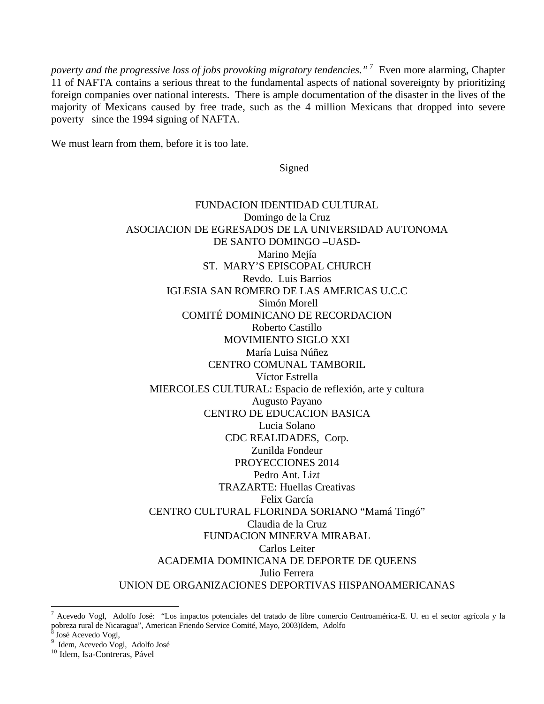*poverty and the progressive loss of jobs provoking migratory tendencies."* <sup>7</sup> Even more alarming, Chapter 11 of NAFTA contains a serious threat to the fundamental aspects of national sovereignty by prioritizing foreign companies over national interests. There is ample documentation of the disaster in the lives of the majority of Mexicans caused by free trade, such as the 4 million Mexicans that dropped into severe poverty since the 1994 signing of NAFTA.

We must learn from them, before it is too late.

Signed

FUNDACION IDENTIDAD CULTURAL Domingo de la Cruz ASOCIACION DE EGRESADOS DE LA UNIVERSIDAD AUTONOMA DE SANTO DOMINGO –UASD-Marino Mejía ST. MARY'S EPISCOPAL CHURCH Revdo. Luis Barrios IGLESIA SAN ROMERO DE LAS AMERICAS U.C.C Simón Morell COMITÉ DOMINICANO DE RECORDACION Roberto Castillo MOVIMIENTO SIGLO XXI María Luisa Núñez CENTRO COMUNAL TAMBORIL Víctor Estrella MIERCOLES CULTURAL: Espacio de reflexión, arte y cultura Augusto Payano CENTRO DE EDUCACION BASICA Lucia Solano CDC REALIDADES, Corp. Zunilda Fondeur PROYECCIONES 2014 Pedro Ant. Lizt TRAZARTE: Huellas Creativas Felix García CENTRO CULTURAL FLORINDA SORIANO "Mamá Tingó" Claudia de la Cruz FUNDACION MINERVA MIRABAL Carlos Leiter ACADEMIA DOMINICANA DE DEPORTE DE QUEENS Julio Ferrera UNION DE ORGANIZACIONES DEPORTIVAS HISPANOAMERICANAS

 $\overline{a}$ 

<sup>7</sup> Acevedo Vogl, Adolfo José: "Los impactos potenciales del tratado de libre comercio Centroamérica-E. U. en el sector agrícola y la pobreza rural de Nicaragua", American Friendo Service Comité, Mayo, 2003)Idem, Adolfo

<sup>&</sup>lt;sup>8</sup> José Acevedo Vogl,

<sup>9</sup> Idem, Acevedo Vogl, Adolfo José

<sup>10</sup> Idem, Isa-Contreras, Pável